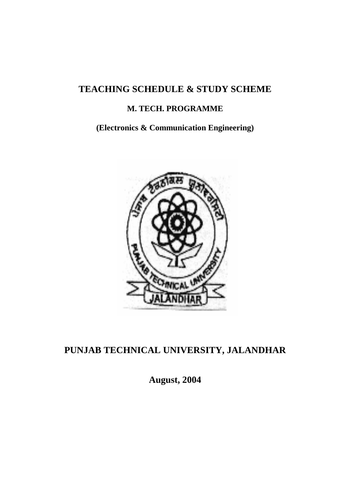# **TEACHING SCHEDULE & STUDY SCHEME**

# **M. TECH. PROGRAMME**

**(Electronics & Communication Engineering)** 



# **PUNJAB TECHNICAL UNIVERSITY, JALANDHAR**

**August, 2004**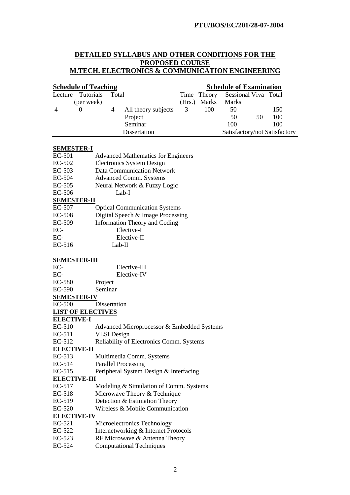#### **DETAILED SYLLABUS AND OTHER CONDITIONS FOR THE PROPOSED COURSE M.TECH. ELECTRONICS & COMMUNICATION ENGINEERING**

| <b>Schedule of Teaching</b> |                         |   |                     |                         | <b>Schedule of Examination</b> |                      |    |     |
|-----------------------------|-------------------------|---|---------------------|-------------------------|--------------------------------|----------------------|----|-----|
|                             | Lecture Tutorials Total |   |                     |                         | Time Theory                    | Sessional Viva Total |    |     |
|                             | (per week)              |   |                     |                         | (Hrs.) Marks                   | Marks                |    |     |
| $\overline{4}$              | $\theta$                | 4 | All theory subjects | $\overline{\mathbf{3}}$ | 100                            | 50                   |    | 150 |
|                             |                         |   | Project             |                         |                                | 50                   | 50 | 100 |
|                             |                         |   | Seminar             |                         |                                | 100                  |    | 100 |
|                             | Dissertation            |   |                     |                         | Satisfactory/not Satisfactory  |                      |    |     |

#### **SEMESTER-I**

| EC-501             | <b>Advanced Mathematics for Engineers</b> |  |  |  |  |
|--------------------|-------------------------------------------|--|--|--|--|
| EC-502             | Electronics System Design                 |  |  |  |  |
| EC-503             | <b>Data Communication Network</b>         |  |  |  |  |
| EC-504             | <b>Advanced Comm. Systems</b>             |  |  |  |  |
| $EC-505$           | Neural Network & Fuzzy Logic              |  |  |  |  |
| $EC-506$           | Lab-I                                     |  |  |  |  |
| <b>SEMESTER-II</b> |                                           |  |  |  |  |
| EC-507             | <b>Optical Communication Systems</b>      |  |  |  |  |
| <b>EC-508</b>      | Digital Speech & Image Processing         |  |  |  |  |
| EC-509             | <b>Information Theory and Coding</b>      |  |  |  |  |
| $EC-$              | Elective-I                                |  |  |  |  |
| <b>DO</b>          | 171.4111                                  |  |  |  |  |

| EC-    | Elective-II |
|--------|-------------|
| EC-516 | Lab-II      |

#### **SEMESTER-III**

| EC-     | Elective-III         |
|---------|----------------------|
| EC-     | Elective-IV          |
| EC-580  | Project              |
| E C 500 | $\mathbf{S}_{amino}$ |

EC-590 Seminar

# **SEMESTER-IV**<br>EC-500 **I**

Dissertation

# **LIST OF ELECTIVES**

**ELECTIVE-I** 

- EC-510 Advanced Microprocessor & Embedded Systems
- EC-511 VLSI Design
- EC-512 Reliability of Electronics Comm. Systems

#### **ELECTIVE-II**

- EC-513 Multimedia Comm. Systems
- EC-514 Parallel Processing
- EC-515 Peripheral System Design & Interfacing

#### **ELECTIVE-III**

- EC-517 Modeling & Simulation of Comm. Systems
- EC-518 Microwave Theory & Technique
- EC-519 Detection & Estimation Theory
- EC-520 Wireless & Mobile Communication

#### **ELECTIVE-IV**

- EC-521 Microelectronics Technology<br>EC-522 Internetworking & Internet Pr
- Internetworking & Internet Protocols
- EC-523 RF Microwave & Antenna Theory
- EC-524 Computational Techniques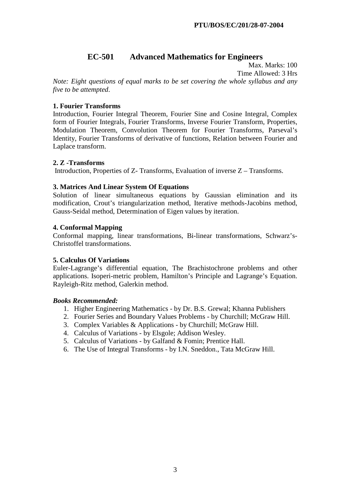# **EC-501 Advanced Mathematics for Engineers**

Max. Marks: 100 Time Allowed: 3 Hrs

*Note: Eight questions of equal marks to be set covering the whole syllabus and any five to be attempted*.

# **1. Fourier Transforms**

Introduction, Fourier Integral Theorem, Fourier Sine and Cosine Integral, Complex form of Fourier Integrals, Fourier Transforms, Inverse Fourier Transform, Properties, Modulation Theorem, Convolution Theorem for Fourier Transforms, Parseval's Identity, Fourier Transforms of derivative of functions, Relation between Fourier and Laplace transform.

# **2. Z -Transforms**

Introduction, Properties of Z- Transforms, Evaluation of inverse Z – Transforms.

# **3. Matrices And Linear System Of Equations**

Solution of linear simultaneous equations by Gaussian elimination and its modification, Crout's triangularization method, Iterative methods-Jacobins method, Gauss-Seidal method, Determination of Eigen values by iteration.

# **4. Conformal Mapping**

Conformal mapping, linear transformations, Bi-linear transformations, Schwarz's-Christoffel transformations.

# **5. Calculus Of Variations**

Euler-Lagrange's differential equation, The Brachistochrone problems and other applications. Isoperi-metric problem, Hamilton's Principle and Lagrange's Equation. Rayleigh-Ritz method, Galerkin method.

- 1. Higher Engineering Mathematics by Dr. B.S. Grewal; Khanna Publishers
- 2. Fourier Series and Boundary Values Problems by Churchill; McGraw Hill.
- 3. Complex Variables & Applications by Churchill; McGraw Hill.
- 4. Calculus of Variations by Elsgole; Addison Wesley.
- 5. Calculus of Variations by Galfand & Fomin; Prentice Hall.
- 6. The Use of Integral Transforms by I.N. Sneddon., Tata McGraw Hill.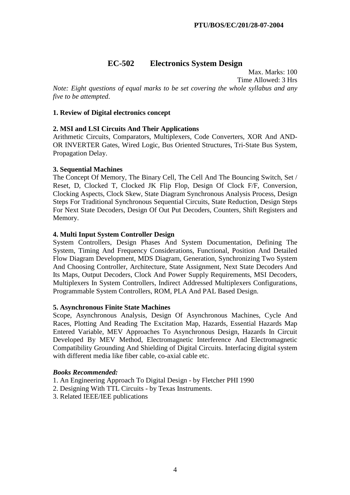# **EC-502 Electronics System Design**

Max. Marks: 100 Time Allowed: 3 Hrs

*Note: Eight questions of equal marks to be set covering the whole syllabus and any five to be attempted*.

# **1. Review of Digital electronics concept**

# **2. MSI and LSI Circuits And Their Applications**

Arithmetic Circuits, Comparators, Multiplexers, Code Converters, XOR And AND-OR INVERTER Gates, Wired Logic, Bus Oriented Structures, Tri-State Bus System, Propagation Delay.

# **3. Sequential Machines**

The Concept Of Memory, The Binary Cell, The Cell And The Bouncing Switch, Set / Reset, D, Clocked T, Clocked JK Flip Flop, Design Of Clock F/F, Conversion, Clocking Aspects, Clock Skew, State Diagram Synchronous Analysis Process, Design Steps For Traditional Synchronous Sequential Circuits, State Reduction, Design Steps For Next State Decoders, Design Of Out Put Decoders, Counters, Shift Registers and Memory.

# **4. Multi Input System Controller Design**

System Controllers, Design Phases And System Documentation, Defining The System, Timing And Frequency Considerations, Functional, Position And Detailed Flow Diagram Development, MDS Diagram, Generation, Synchronizing Two System And Choosing Controller, Architecture, State Assignment, Next State Decoders And Its Maps, Output Decoders, Clock And Power Supply Requirements, MSI Decoders, Multiplexers In System Controllers, Indirect Addressed Multiplexers Configurations, Programmable System Controllers, ROM, PLA And PAL Based Design.

#### **5. Asynchronous Finite State Machines**

Scope, Asynchronous Analysis, Design Of Asynchronous Machines, Cycle And Races, Plotting And Reading The Excitation Map, Hazards, Essential Hazards Map Entered Variable, MEV Approaches To Asynchronous Design, Hazards In Circuit Developed By MEV Method, Electromagnetic Interference And Electromagnetic Compatibility Grounding And Shielding of Digital Circuits. Interfacing digital system with different media like fiber cable, co-axial cable etc.

- 1. An Engineering Approach To Digital Design by Fletcher PHI 1990
- 2. Designing With TTL Circuits by Texas Instruments.
- 3. Related IEEE/IEE publications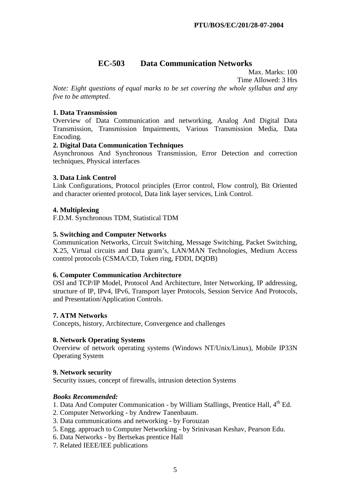# **EC-503 Data Communication Networks**

Max. Marks: 100 Time Allowed: 3 Hrs

*Note: Eight questions of equal marks to be set covering the whole syllabus and any five to be attempted*.

# **1. Data Transmission**

Overview of Data Communication and networking, Analog And Digital Data Transmission, Transmission Impairments, Various Transmission Media, Data Encoding.

# **2. Digital Data Communication Techniques**

Asynchronous And Synchronous Transmission, Error Detection and correction techniques, Physical interfaces

# **3. Data Link Control**

Link Configurations, Protocol principles (Error control, Flow control), Bit Oriented and character oriented protocol, Data link layer services, Link Control.

# **4. Multiplexing**

F.D.M. Synchronous TDM, Statistical TDM

#### **5. Switching and Computer Networks**

Communication Networks, Circuit Switching, Message Switching, Packet Switching, X.25, Virtual circuits and Data gram's, LAN/MAN Technologies, Medium Access control protocols (CSMA/CD, Token ring, FDDI, DQDB)

#### **6. Computer Communication Architecture**

OSI and TCP/IP Model, Protocol And Architecture, Inter Networking, IP addressing, structure of IP, IPv4, IPv6, Transport layer Protocols, Session Service And Protocols, and Presentation/Application Controls.

#### **7. ATM Networks**

Concepts, history, Architecture, Convergence and challenges

#### **8. Network Operating Systems**

Overview of network operating systems (Windows NT/Unix/Linux), Mobile IP33N Operating System

#### **9. Network security**

Security issues, concept of firewalls, intrusion detection Systems

- 1. Data And Computer Communication by William Stallings, Prentice Hall, 4<sup>th</sup> Ed.
- 2. Computer Networking by Andrew Tanenbaum.
- 3. Data communications and networking by Forouzan
- 5. Engg. approach to Computer Networking by Srinivasan Keshav, Pearson Edu.
- 6. Data Networks by Bertsekas prentice Hall
- 7. Related IEEE/IEE publications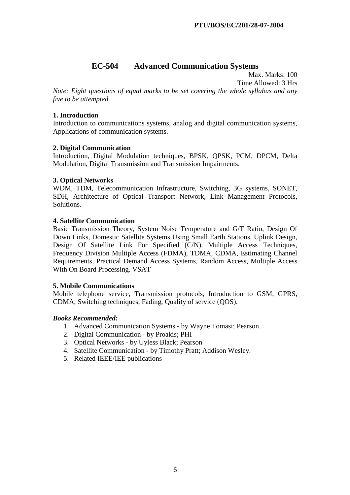# **EC-504 Advanced Communication Systems**

Max. Marks: 100 Time Allowed: 3 Hrs

*Note: Eight questions of equal marks to be set covering the whole syllabus and any five to be attempted*.

# **1. Introduction**

Introduction to communications systems, analog and digital communication systems, Applications of communication systems.

# **2. Digital Communication**

Introduction, Digital Modulation techniques, BPSK, QPSK, PCM, DPCM, Delta Modulation, Digital Transmission and Transmission Impairments.

# **3. Optical Networks**

WDM, TDM, Telecommunication Infrastructure, Switching, 3G systems, SONET, SDH, Architecture of Optical Transport Network, Link Management Protocols, Solutions.

# **4. Satellite Communication**

Basic Transmission Theory, System Noise Temperature and G/T Ratio, Design Of Down Links, Domestic Satellite Systems Using Small Earth Stations, Uplink Design, Design Of Satellite Link For Specified (C/N). Multiple Access Techniques, Frequency Division Multiple Access (FDMA), TDMA, CDMA, Estimating Channel Requirements, Practical Demand Access Systems, Random Access, Multiple Access With On Board Processing. VSAT

#### **5. Mobile Communications**

Mobile telephone service, Transmission protocols, Introduction to GSM, GPRS, CDMA, Switching techniques, Fading, Quality of service (QOS).

- 1. Advanced Communication Systems by Wayne Tomasi; Pearson.
- 2. Digital Communication by Proakis; PHI
- 3. Optical Networks by Uyless Black; Pearson
- 4. Satellite Communication by Timothy Pratt; Addison Wesley.
- 5. Related IEEE/IEE publications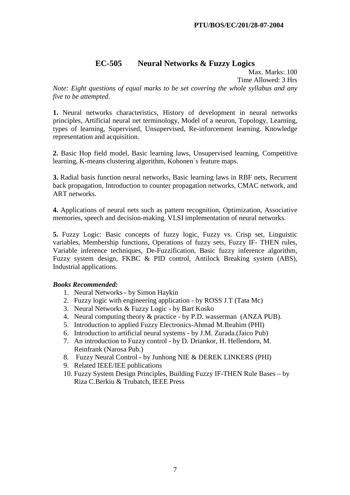# **EC-505 Neural Networks & Fuzzy Logics**

Max. Marks: 100 Time Allowed: 3 Hrs *Note: Eight questions of equal marks to be set covering the whole syllabus and any five to be attempted*.

**1.** Neural networks characteristics, History of development in neural networks principles, Artificial neural net terminology, Model of a neuron, Topology, Learning, types of learning, Supervised, Unsupervised, Re-inforcement learning. Knowledge representation and acquisition.

**2.** Basic Hop field model, Basic learning laws, Unsupervised learning, Competitive learning, K-means clustering algorithm, Kohonen`s feature maps.

**3.** Radial basis function neural networks, Basic learning laws in RBF nets, Recurrent back propagation, Introduction to counter propagation networks, CMAC network, and ART networks.

**4.** Applications of neural nets such as pattern recognition, Optimization, Associative memories, speech and decision-making. VLSI implementation of neural networks.

**5.** Fuzzy Logic: Basic concepts of fuzzy logic, Fuzzy vs. Crisp set, Linguistic variables, Membership functions, Operations of fuzzy sets, Fuzzy IF- THEN rules, Variable inference techniques, De-Fuzzification, Basic fuzzy inference algorithm, Fuzzy system design, FKBC & PID control, Antilock Breaking system (ABS), Industrial applications.

- 1. Neural Networks by Simon Haykin
- 2. Fuzzy logic with engineering application by ROSS J.T (Tata Mc)
- 3. Neural Networks & Fuzzy Logic by Bart Kosko
- 4. Neural computing theory & practice by P.D. wasserman (ANZA PUB).
- 5. Introduction to applied Fuzzy Electronics-Ahmad M.Ibrahim (PHI)
- 6. Introduction to artificial neural systems by J.M. Zurada.(Jaico Pub)
- 7. An introduction to Fuzzy control by D. Driankor, H. Hellendorn, M. Reinfrank (Narosa Pub.)
- 8. Fuzzy Neural Control by Junhong NIE & DEREK LINKERS (PHI)
- 9. Related IEEE/IEE publications
- 10. Fuzzy System Design Principles, Building Fuzzy IF-THEN Rule Bases by Riza C.Berkiu & Trubatch, IEEE Press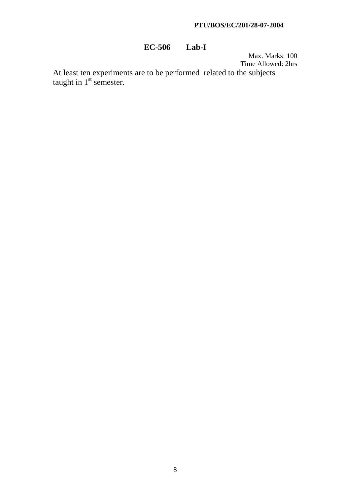# **PTU/BOS/EC/201/28-07-2004**

# **EC-506 Lab-I**

Max. Marks: 100 Time Allowed: 2hrs

At least ten experiments are to be performed related to the subjects taught in  $1<sup>st</sup>$  semester.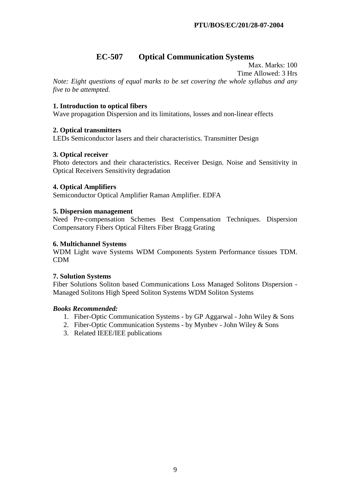# **EC-507 Optical Communication Systems**

Max. Marks: 100

Time Allowed: 3 Hrs

*Note: Eight questions of equal marks to be set covering the whole syllabus and any five to be attempted*.

# **1. Introduction to optical fibers**

Wave propagation Dispersion and its limitations, losses and non-linear effects

# **2. Optical transmitters**

LEDs Semiconductor lasers and their characteristics. Transmitter Design

# **3. Optical receiver**

Photo detectors and their characteristics. Receiver Design. Noise and Sensitivity in Optical Receivers Sensitivity degradation

#### **4. Optical Amplifiers**

Semiconductor Optical Amplifier Raman Amplifier. EDFA

#### **5. Dispersion management**

Need Pre-compensation Schemes Best Compensation Techniques. Dispersion Compensatory Fibers Optical Filters Fiber Bragg Grating

#### **6. Multichannel Systems**

WDM Light wave Systems WDM Components System Performance tissues TDM. CDM

#### **7. Solution Systems**

Fiber Solutions Soliton based Communications Loss Managed Solitons Dispersion - Managed Solitons High Speed Soliton Systems WDM Soliton Systems

- 1. Fiber-Optic Communication Systems by GP Aggarwal John Wiley & Sons
- 2. Fiber-Optic Communication Systems by Mynbev John Wiley & Sons
- 3. Related IEEE/IEE publications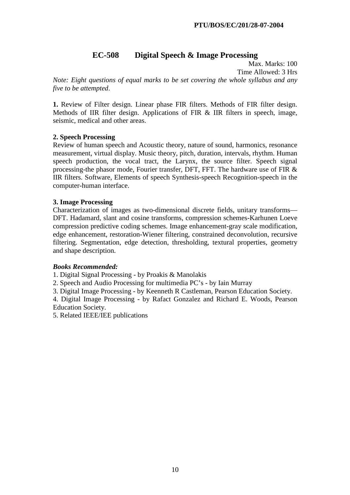# **EC-508 Digital Speech & Image Processing**

Max. Marks: 100 Time Allowed: 3 Hrs *Note: Eight questions of equal marks to be set covering the whole syllabus and any five to be attempted*.

**1.** Review of Filter design. Linear phase FIR filters. Methods of FIR filter design. Methods of IIR filter design. Applications of FIR & IIR filters in speech, image, seismic, medical and other areas.

# **2. Speech Processing**

Review of human speech and Acoustic theory, nature of sound, harmonics, resonance measurement, virtual display. Music theory, pitch, duration, intervals, rhythm. Human speech production, the vocal tract, the Larynx, the source filter. Speech signal processing-the phasor mode, Fourier transfer, DFT, FFT. The hardware use of FIR & IIR filters. Software, Elements of speech Synthesis-speech Recognition-speech in the computer-human interface.

# **3. Image Processing**

Characterization of images as two-dimensional discrete fields, unitary transforms— DFT. Hadamard, slant and cosine transforms, compression schemes-Karhunen Loeve compression predictive coding schemes. Image enhancement-gray scale modification, edge enhancement, restoration-Wiener filtering, constrained deconvolution, recursive filtering. Segmentation, edge detection, thresholding, textural properties, geometry and shape description.

# *Books Recommended:*

1. Digital Signal Processing - by Proakis & Manolakis

2. Speech and Audio Processing for multimedia PC's - by Iain Murray

3. Digital Image Processing - by Keenneth R Castleman, Pearson Education Society.

4. Digital Image Processing - by Rafact Gonzalez and Richard E. Woods, Pearson Education Society.

5. Related IEEE/IEE publications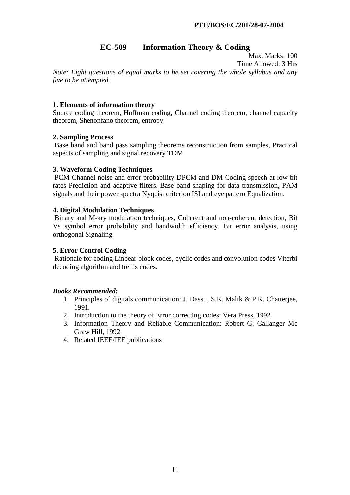#### **PTU/BOS/EC/201/28-07-2004**

# **EC-509 Information Theory & Coding**

Max. Marks: 100 Time Allowed: 3 Hrs

*Note: Eight questions of equal marks to be set covering the whole syllabus and any five to be attempted*.

#### **1. Elements of information theory**

Source coding theorem, Huffman coding, Channel coding theorem, channel capacity theorem, Shenonfano theorem, entropy

# **2. Sampling Process**

 Base band and band pass sampling theorems reconstruction from samples, Practical aspects of sampling and signal recovery TDM

# **3. Waveform Coding Techniques**

 PCM Channel noise and error probability DPCM and DM Coding speech at low bit rates Prediction and adaptive filters. Base band shaping for data transmission, PAM signals and their power spectra Nyquist criterion ISI and eye pattern Equalization.

# **4. Digital Modulation Techniques**

 Binary and M-ary modulation techniques, Coherent and non-coherent detection, Bit Vs symbol error probability and bandwidth efficiency. Bit error analysis, using orthogonal Signaling

#### **5. Error Control Coding**

 Rationale for coding Linbear block codes, cyclic codes and convolution codes Viterbi decoding algorithm and trellis codes.

- 1. Principles of digitals communication: J. Dass. , S.K. Malik & P.K. Chatterjee, 1991.
- 2. Introduction to the theory of Error correcting codes: Vera Press, 1992
- 3. Information Theory and Reliable Communication: Robert G. Gallanger Mc Graw Hill, 1992
- 4. Related IEEE/IEE publications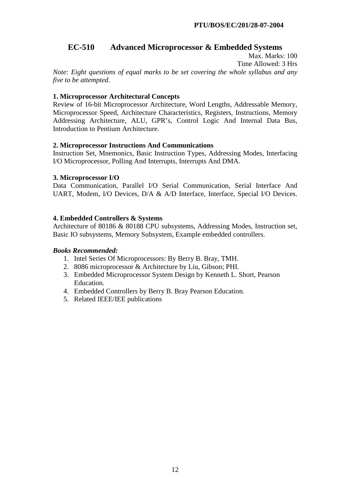#### **PTU/BOS/EC/201/28-07-2004**

# **EC-510 Advanced Microprocessor & Embedded Systems**

Max. Marks: 100

Time Allowed: 3 Hrs

*Note: Eight questions of equal marks to be set covering the whole syllabus and any five to be attempted*.

#### **1. Microprocessor Architectural Concepts**

Review of 16-bit Microprocessor Architecture, Word Lengths, Addressable Memory, Microprocessor Speed, Architecture Characteristics, Registers, Instructions, Memory Addressing Architecture, ALU, GPR's, Control Logic And Internal Data Bus, Introduction to Pentium Architecture.

#### **2. Microprocessor Instructions And Communications**

Instruction Set, Mnemonics, Basic Instruction Types, Addressing Modes, Interfacing I/O Microprocessor, Polling And Interrupts, Interrupts And DMA.

# **3. Microprocessor I/O**

Data Communication, Parallel I/O Serial Communication, Serial Interface And UART, Modem, I/O Devices, D/A & A/D Interface, Interface, Special I/O Devices.

# **4. Embedded Controllers & Systems**

Architecture of 80186 & 80188 CPU subsystems, Addressing Modes, Instruction set, Basic IO subsystems, Memory Subsystem, Example embedded controllers.

- 1. Intel Series Of Microprocessors: By Berry B. Bray, TMH.
- 2. 8086 microprocessor & Architecture by Liu, Gibson; PHI.
- 3. Embedded Microprocessor System Design by Kenneth L. Short, Pearson Education.
- 4. Embedded Controllers by Berry B. Bray Pearson Education.
- 5. Related IEEE/IEE publications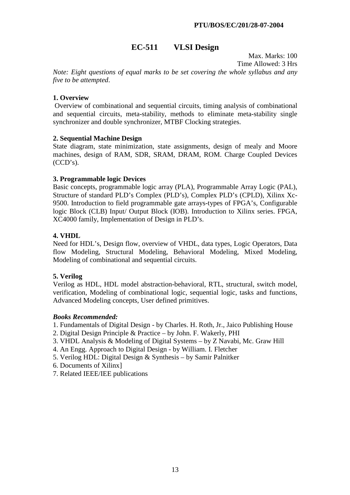# **EC-511 VLSI Design**

Max. Marks: 100 Time Allowed: 3 Hrs

*Note: Eight questions of equal marks to be set covering the whole syllabus and any five to be attempted*.

# **1. Overview**

 Overview of combinational and sequential circuits, timing analysis of combinational and sequential circuits, meta-stability, methods to eliminate meta-stability single synchronizer and double synchronizer, MTBF Clocking strategies.

# **2. Sequential Machine Design**

State diagram, state minimization, state assignments, design of mealy and Moore machines, design of RAM, SDR, SRAM, DRAM, ROM. Charge Coupled Devices  $(CCD's)$ .

# **3. Programmable logic Devices**

Basic concepts, programmable logic array (PLA), Programmable Array Logic (PAL), Structure of standard PLD's Complex (PLD's), Complex PLD's (CPLD), Xilinx Xc-9500. Introduction to field programmable gate arrays-types of FPGA's, Configurable logic Block (CLB) Input/ Output Block (IOB). Introduction to Xilinx series. FPGA, XC4000 family, Implementation of Design in PLD's.

# **4. VHDL**

Need for HDL's, Design flow, overview of VHDL, data types, Logic Operators, Data flow Modeling, Structural Modeling, Behavioral Modeling, Mixed Modeling, Modeling of combinational and sequential circuits.

#### **5. Verilog**

Verilog as HDL, HDL model abstraction-behavioral, RTL, structural, switch model, verification, Modeling of combinational logic, sequential logic, tasks and functions, Advanced Modeling concepts, User defined primitives.

- 1. Fundamentals of Digital Design by Charles. H. Roth, Jr., Jaico Publishing House
- 2. Digital Design Principle & Practice by John. F. Wakerly, PHI
- 3. VHDL Analysis & Modeling of Digital Systems by Z Navabi, Mc. Graw Hill
- 4. An Engg. Approach to Digital Design by William. I. Fletcher
- 5. Verilog HDL: Digital Design & Synthesis by Samir Palnitker
- 6. Documents of Xilinx]
- 7. Related IEEE/IEE publications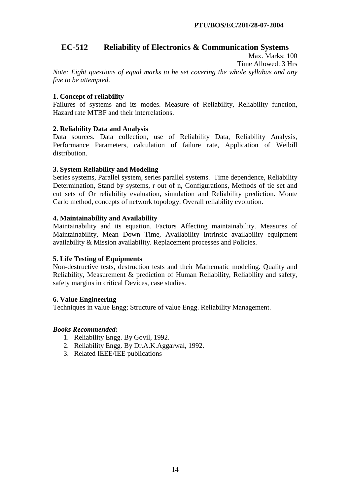#### **PTU/BOS/EC/201/28-07-2004**

# **EC-512 Reliability of Electronics & Communication Systems**

Max. Marks: 100 Time Allowed: 3 Hrs

*Note: Eight questions of equal marks to be set covering the whole syllabus and any five to be attempted*.

# **1. Concept of reliability**

Failures of systems and its modes. Measure of Reliability, Reliability function, Hazard rate MTBF and their interrelations.

# **2. Reliability Data and Analysis**

Data sources. Data collection, use of Reliability Data, Reliability Analysis, Performance Parameters, calculation of failure rate, Application of Weibill distribution.

# **3. System Reliability and Modeling**

Series systems, Parallel system, series parallel systems. Time dependence, Reliability Determination, Stand by systems, r out of n, Configurations, Methods of tie set and cut sets of Or reliability evaluation, simulation and Reliability prediction. Monte Carlo method, concepts of network topology. Overall reliability evolution.

# **4. Maintainability and Availability**

Maintainability and its equation. Factors Affecting maintainability. Measures of Maintainability, Mean Down Time, Availability Intrinsic availability equipment availability & Mission availability. Replacement processes and Policies.

# **5. Life Testing of Equipments**

Non-destructive tests, destruction tests and their Mathematic modeling. Quality and Reliability, Measurement & prediction of Human Reliability, Reliability and safety, safety margins in critical Devices, case studies.

# **6. Value Engineering**

Techniques in value Engg; Structure of value Engg. Reliability Management.

- 1. Reliability Engg. By Govil, 1992.
- 2. Reliability Engg. By Dr.A.K.Aggarwal, 1992.
- 3. Related IEEE/IEE publications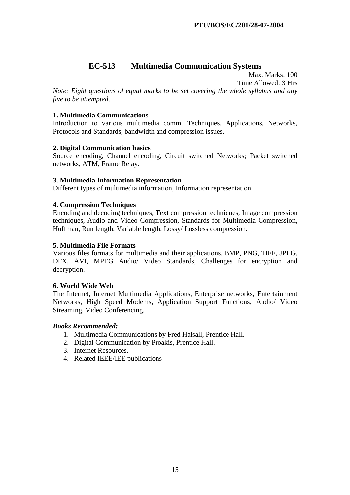# **EC-513 Multimedia Communication Systems**

Max. Marks: 100 Time Allowed: 3 Hrs

*Note: Eight questions of equal marks to be set covering the whole syllabus and any five to be attempted*.

# **1. Multimedia Communications**

Introduction to various multimedia comm. Techniques, Applications, Networks, Protocols and Standards, bandwidth and compression issues.

# **2. Digital Communication basics**

Source encoding, Channel encoding, Circuit switched Networks; Packet switched networks, ATM, Frame Relay.

#### **3. Multimedia Information Representation**

Different types of multimedia information, Information representation.

#### **4. Compression Techniques**

Encoding and decoding techniques, Text compression techniques, Image compression techniques, Audio and Video Compression, Standards for Multimedia Compression, Huffman, Run length, Variable length, Lossy/ Lossless compression.

#### **5. Multimedia File Formats**

Various files formats for multimedia and their applications, BMP, PNG, TIFF, JPEG, DFX, AVI, MPEG Audio/ Video Standards, Challenges for encryption and decryption.

#### **6. World Wide Web**

The Internet, Internet Multimedia Applications, Enterprise networks, Entertainment Networks, High Speed Modems, Application Support Functions, Audio/ Video Streaming, Video Conferencing.

- 1. Multimedia Communications by Fred Halsall, Prentice Hall.
- 2. Digital Communication by Proakis, Prentice Hall.
- 3. Internet Resources.
- 4. Related IEEE/IEE publications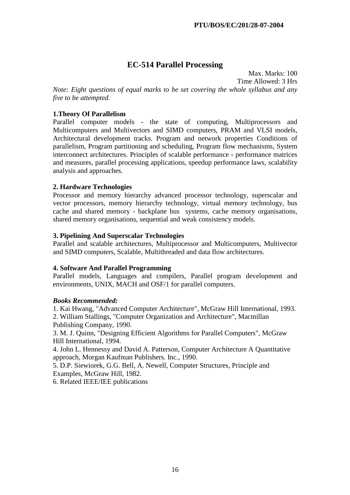# **EC-514 Parallel Processing**

Max. Marks: 100 Time Allowed: 3 Hrs

*Note: Eight questions of equal marks to be set covering the whole syllabus and any five to be attempted*.

# **1.Theory Of Parallelism**

Parallel computer models - the state of computing, Multiprocessors and Multicomputers and Multivectors and SIMD computers, PRAM and VLSI models, Architectural development tracks. Program and network properties Conditions of parallelism, Program partitioning and scheduling, Program flow mechanisms, System interconnect architectures. Principles of scalable performance - performance matrices and measures, parallel processing applications, speedup performance laws, scalability analysis and approaches.

# **2. Hardware Technologies**

Processor and memory hierarchy advanced processor technology, superscalar and vector processors, memory hierarchy technology, virtual memory technology, bus cache and shared memory - backplane bus systems, cache memory organisations, shared memory organisations, sequential and weak consistency models.

# **3. Pipelining And Superscalar Technologies**

Parallel and scalable architectures, Multiprocessor and Multicomputers, Multivector and SIMD computers, Scalable, Multithreaded and data flow architectures.

# **4. Software And Parallel Programming**

Parallel models, Languages and compilers, Parallel program development and environments, UNIX, MACH and OSF/1 for parallel computers.

# *Books Recommended:*

1. Kai Hwang, "Advanced Computer Architecture", McGraw Hill International, 1993. 2. William Stallings, "Computer Organization and Architecture", Macmillan Publishing Company, 1990.

3. M. J. Quinn, "Designing Efficient Algorithms for Parallel Computers", McGraw Hill International, 1994.

4. John L. Hennessy and David A. Patterson, Computer Architecture A Quantitative approach, Morgan Kaufman Publishers. Inc., 1990.

5. D.P. Siewiorek, G.G. Bell, A. Newell, Computer Structures, Principle and Examples, McGraw Hill, 1982.

6. Related IEEE/IEE publications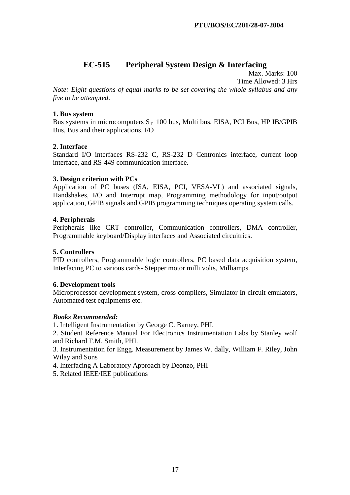# **EC-515 Peripheral System Design & Interfacing**

Max. Marks: 100 Time Allowed: 3 Hrs

*Note: Eight questions of equal marks to be set covering the whole syllabus and any five to be attempted*.

# **1. Bus system**

Bus systems in microcomputers  $S_T$  100 bus, Multi bus, EISA, PCI Bus, HP IB/GPIB Bus, Bus and their applications. I/O

# **2. Interface**

Standard I/O interfaces RS-232 C, RS-232 D Centronics interface, current loop interface, and RS-449 communication interface.

# **3. Design criterion with PCs**

Application of PC buses (ISA, EISA, PCI, VESA-VL) and associated signals, Handshakes, I/O and Interrupt map, Programming methodology for input/output application, GPIB signals and GPIB programming techniques operating system calls.

# **4. Peripherals**

Peripherals like CRT controller, Communication controllers, DMA controller, Programmable keyboard/Display interfaces and Associated circuitries.

#### **5. Controllers**

PID controllers, Programmable logic controllers, PC based data acquisition system, Interfacing PC to various cards- Stepper motor milli volts, Milliamps.

#### **6. Development tools**

Microprocessor development system, cross compilers, Simulator In circuit emulators, Automated test equipments etc.

#### *Books Recommended:*

1. Intelligent Instrumentation by George C. Barney, PHI.

2. Student Reference Manual For Electronics Instrumentation Labs by Stanley wolf and Richard F.M. Smith, PHI.

3. Instrumentation for Engg. Measurement by James W. dally, William F. Riley, John Wilay and Sons

4. Interfacing A Laboratory Approach by Deonzo, PHI

5. Related IEEE/IEE publications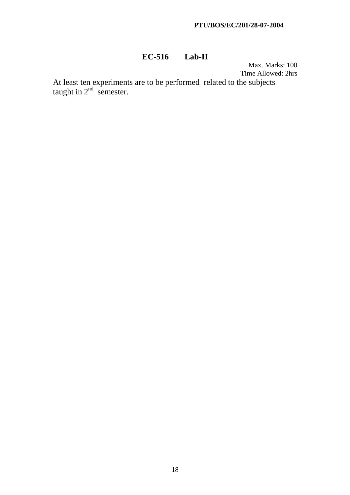#### **PTU/BOS/EC/201/28-07-2004**

# **EC-516 Lab-II**

Max. Marks: 100 Time Allowed: 2hrs

At least ten experiments are to be performed related to the subjects taught in  $2<sup>nd</sup>$  semester.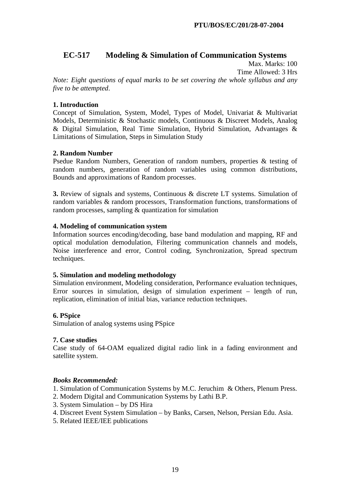# **EC-517 Modeling & Simulation of Communication Systems**

Max. Marks: 100 Time Allowed: 3 Hrs *Note: Eight questions of equal marks to be set covering the whole syllabus and any five to be attempted*.

# **1. Introduction**

Concept of Simulation, System, Model, Types of Model, Univariat & Multivariat Models, Deterministic & Stochastic models, Continuous & Discreet Models, Analog & Digital Simulation, Real Time Simulation, Hybrid Simulation, Advantages & Limitations of Simulation, Steps in Simulation Study

# **2. Random Number**

Psedue Random Numbers, Generation of random numbers, properties & testing of random numbers, generation of random variables using common distributions, Bounds and approximations of Random processes.

**3.** Review of signals and systems, Continuous & discrete LT systems. Simulation of random variables & random processors, Transformation functions, transformations of random processes, sampling & quantization for simulation

# **4. Modeling of communication system**

Information sources encoding/decoding, base band modulation and mapping, RF and optical modulation demodulation, Filtering communication channels and models, Noise interference and error, Control coding, Synchronization, Spread spectrum techniques.

#### **5. Simulation and modeling methodology**

Simulation environment, Modeling consideration, Performance evaluation techniques, Error sources in simulation, design of simulation experiment – length of run, replication, elimination of initial bias, variance reduction techniques.

# **6. PSpice**

Simulation of analog systems using PSpice

#### **7. Case studies**

Case study of 64-OAM equalized digital radio link in a fading environment and satellite system.

# *Books Recommended:*

1. Simulation of Communication Systems by M.C. Jeruchim & Others, Plenum Press.

- 2. Modern Digital and Communication Systems by Lathi B.P.
- 3. System Simulation by DS Hira
- 4. Discreet Event System Simulation by Banks, Carsen, Nelson, Persian Edu. Asia.
- 5. Related IEEE/IEE publications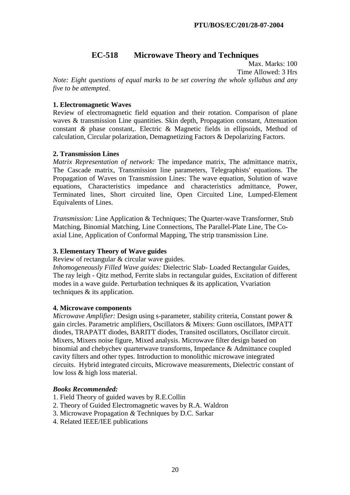# **EC-518 Microwave Theory and Techniques**

Max. Marks: 100 Time Allowed: 3 Hrs *Note: Eight questions of equal marks to be set covering the whole syllabus and any five to be attempted*.

# **1. Electromagnetic Waves**

Review of electromagnetic field equation and their rotation. Comparison of plane waves & transmission Line quantities. Skin depth, Propagation constant, Attenuation constant *&* phase constant,. Electric & Magnetic fields in ellipsoids, Method of calculation, Circular polarization, Demagnetizing Factors & Depolarizing Factors.

# **2. Transmission Lines**

*Matrix Representation of network:* The impedance matrix, The admittance matrix, The Cascade matrix, Transmission line parameters, Telegraphists' equations. The Propagation of Waves on Transmission Lines: The wave equation, Solution of wave equations, Characteristics impedance and characteristics admittance, Power, Terminated lines, Short circuited line, Open Circuited Line, Lumped-Element Equivalents of Lines.

*Transmission:* Line Application & Techniques; The Quarter-wave Transformer, Stub Matching, Binomial Matching, Line Connections, The Parallel-Plate Line, The Coaxial Line, Application of Conformal Mapping, The strip transmission Line.

#### **3. Elementary Theory of Wave guides**

Review of rectangular & circular wave guides.

*Inhomogeneously Filled Wave guides:* Dielectric Slab- Loaded Rectangular Guides, The ray leigh - Qitz method, Ferrite slabs in rectangular guides, Excitation of different modes in a wave guide. Perturbation techniques  $\&$  its application, Vvariation techniques & its application.

#### **4. Microwave components**

*Microwave Amplifier:* Design using s-parameter, stability criteria, Constant power & gain circles. Parametric amplifiers, Oscillators & Mixers: Gunn oscillators, IMPATT diodes, TRAPATT diodes, BARITT diodes, Transited oscillators, Oscillator circuit. Mixers, Mixers noise figure, Mixed analysis. Microwave filter design based on binomial and chebychev quarterwave transforms, Impedance & Admittance coupled cavity filters and other types. Introduction to monolithic microwave integrated circuits. Hybrid integrated circuits, Microwave measurements, Dielectric constant of low loss & high loss material.

- 1. Field Theory of guided waves by R.E.Collin
- 2. Theory of Guided Electromagnetic waves by R.A. Waldron
- 3. Microwave Propagation *&* Techniques by D.C. Sarkar
- 4. Related IEEE/IEE publications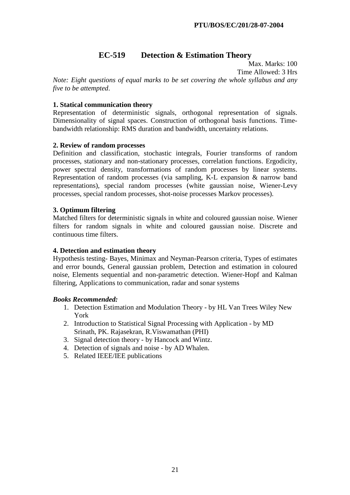# **EC-519 Detection & Estimation Theory**

Max. Marks: 100 Time Allowed: 3 Hrs

*Note: Eight questions of equal marks to be set covering the whole syllabus and any five to be attempted*.

# **1. Statical communication theory**

Representation of deterministic signals, orthogonal representation of signals. Dimensionality of signal spaces. Construction of orthogonal basis functions. Timebandwidth relationship: RMS duration and bandwidth, uncertainty relations.

# **2. Review of random processes**

Definition and classification, stochastic integrals, Fourier transforms of random processes, stationary and non-stationary processes, correlation functions. Ergodicity, power spectral density, transformations of random processes by linear systems. Representation of random processes (via sampling, K-L expansion & narrow band representations), special random processes (white gaussian noise, Wiener-Levy processes, special random processes, shot-noise processes Markov processes).

# **3. Optimum filtering**

Matched filters for deterministic signals in white and coloured gaussian noise. Wiener filters for random signals in white and coloured gaussian noise. Discrete and continuous time filters.

#### **4. Detection and estimation theory**

Hypothesis testing- Bayes, Minimax and Neyman-Pearson criteria, Types of estimates and error bounds, General gaussian problem, Detection and estimation in coloured noise, Elements sequential and non-parametric detection. Wiener-Hopf and Kalman filtering, Applications to communication, radar and sonar systems

- 1. Detection Estimation and Modulation Theory by HL Van Trees Wiley New York
- 2. Introduction to Statistical Signal Processing with Application by MD Srinath, PK. Rajasekran, R.Viswamathan (PHI)
- 3. Signal detection theory by Hancock and Wintz.
- 4. Detection of signals and noise by AD Whalen.
- 5. Related IEEE/IEE publications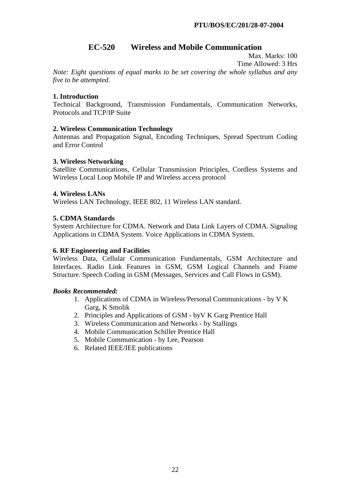# **EC-520 Wireless and Mobile Communication**

Max. Marks: 100

Time Allowed: 3 Hrs

*Note: Eight questions of equal marks to be set covering the whole syllabus and any five to be attempted*.

#### **1. Introduction**

Technical Background, Transmission Fundamentals, Communication Networks, Protocols and TCP/IP Suite

# **2. Wireless Communication Technology**

Antennas and Propagation Signal, Encoding Techniques, Spread Spectrum Coding and Error Control

# **3. Wireless Networking**

Satellite Communications, Cellular Transmission Principles, Cordless Systems and Wireless Local Loop Mobile IP and Wireless access protocol

# **4. Wireless LANs**

Wireless LAN Technology, IEEE 802, 11 Wireless LAN standard.

# **5. CDMA Standards**

System Architecture for CDMA. Network and Data Link Layers of CDMA. Signaling Applications in CDMA System. Voice Applications in CDMA System.

#### **6. RF Engineering and Facilities**

Wireless Data, Cellular Communication Fundamentals, GSM Architecture and Interfaces. Radio Link Features in GSM, GSM Logical Channels and Frame Structure. Speech Coding in GSM (Messages, Services and Call Flows in GSM).

- 1. Applications of CDMA in Wireless/Personal Communications by V K Garg, K Smolik
- 2. Principles and Applications of GSM byV K Garg Prentice Hall
- 3. Wireless Communication and Networks by Stallings
- 4. Mobile Communication Schiller Prentice Hall
- 5. Mobile Communication by Lee, Pearson
- 6. Related IEEE/IEE publications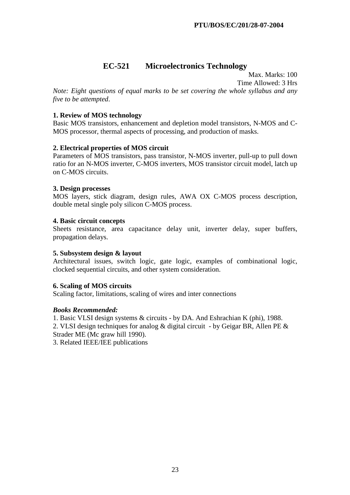# **EC-521 Microelectronics Technology**

Max. Marks: 100 Time Allowed: 3 Hrs

*Note: Eight questions of equal marks to be set covering the whole syllabus and any five to be attempted*.

# **1. Review of MOS technology**

Basic MOS transistors, enhancement and depletion model transistors, N-MOS and C-MOS processor, thermal aspects of processing, and production of masks.

# **2. Electrical properties of MOS circuit**

Parameters of MOS transistors, pass transistor, N-MOS inverter, pull-up to pull down ratio for an N-MOS inverter, C-MOS inverters, MOS transistor circuit model, latch up on C-MOS circuits.

#### **3. Design processes**

MOS layers, stick diagram, design rules, AWA OX C-MOS process description, double metal single poly silicon C-MOS process.

# **4. Basic circuit concepts**

Sheets resistance, area capacitance delay unit, inverter delay, super buffers, propagation delays.

#### **5. Subsystem design & layout**

Architectural issues, switch logic, gate logic, examples of combinational logic, clocked sequential circuits, and other system consideration.

#### **6. Scaling of MOS circuits**

Scaling factor, limitations, scaling of wires and inter connections

#### *Books Recommended:*

1. Basic VLSI design systems & circuits - by DA. And Eshrachian K (phi), 1988. 2. VLSI design techniques for analog & digital circuit - by Geigar BR, Allen PE & Strader ME (Mc graw hill 1990).

3. Related IEEE/IEE publications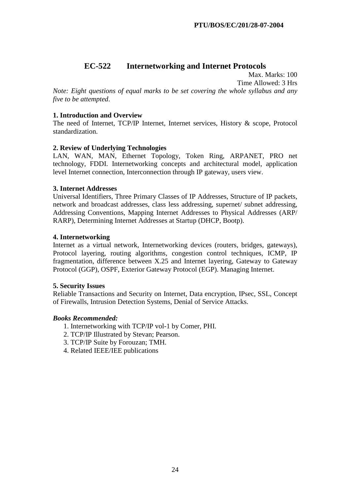# **EC-522 Internetworking and Internet Protocols**

Max. Marks: 100 Time Allowed: 3 Hrs

*Note: Eight questions of equal marks to be set covering the whole syllabus and any five to be attempted*.

# **1. Introduction and Overview**

The need of Internet, TCP/IP Internet, Internet services, History & scope, Protocol standardization.

# **2. Review of Underlying Technologies**

LAN, WAN, MAN, Ethernet Topology, Token Ring, ARPANET, PRO net technology, FDDI. Internetworking concepts and architectural model, application level Internet connection, Interconnection through IP gateway, users view.

# **3. Internet Addresses**

Universal Identifiers, Three Primary Classes of IP Addresses, Structure of IP packets, network and broadcast addresses, class less addressing, supernet/ subnet addressing, Addressing Conventions, Mapping Internet Addresses to Physical Addresses (ARP/ RARP), Determining Internet Addresses at Startup (DHCP, Bootp).

# **4. Internetworking**

Internet as a virtual network, Internetworking devices (routers, bridges, gateways), Protocol layering, routing algorithms, congestion control techniques, ICMP, IP fragmentation, difference between X.25 and Internet layering, Gateway to Gateway Protocol (GGP), OSPF, Exterior Gateway Protocol (EGP). Managing Internet.

#### **5. Security Issues**

Reliable Transactions and Security on Internet, Data encryption, IPsec, SSL, Concept of Firewalls, Intrusion Detection Systems, Denial of Service Attacks.

- 1. Internetworking with TCP/IP vol-1 by Comer, PHI.
- 2. TCP/IP Illustrated by Stevan; Pearson.
- 3. TCP/IP Suite by Forouzan; TMH.
- 4. Related IEEE/IEE publications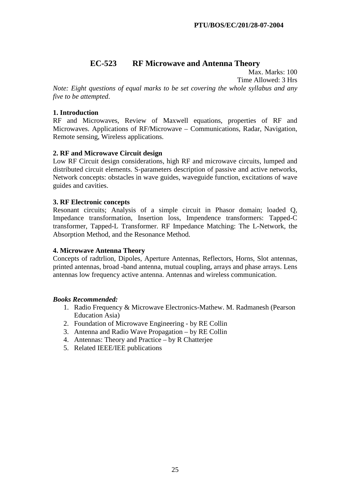# **EC-523 RF Microwave and Antenna Theory**

Max. Marks: 100 Time Allowed: 3 Hrs

*Note: Eight questions of equal marks to be set covering the whole syllabus and any five to be attempted*.

# **1. Introduction**

RF and Microwaves, Review of Maxwell equations, properties of RF and Microwaves. Applications of RF/Microwave – Communications, Radar, Navigation, Remote sensing, Wireless applications.

# **2. RF and Microwave Circuit design**

Low RF Circuit design considerations, high RF and microwave circuits, lumped and distributed circuit elements. S-parameters description of passive and active networks, Network concepts: obstacles in wave guides, waveguide function, excitations of wave guides and cavities.

# **3. RF Electronic concepts**

Resonant circuits; Analysis of a simple circuit in Phasor domain; loaded Q, Impedance transformation, Insertion loss, Impendence transformers: Tapped-C transformer, Tapped-L Transformer. RF Impedance Matching: The L-Network, the Absorption Method, and the Resonance Method.

#### **4. Microwave Antenna Theory**

Concepts of radtrlion, Dipoles, Aperture Antennas, Reflectors, Horns, Slot antennas, printed antennas, broad -band antenna, mutual coupling, arrays and phase arrays. Lens antennas low frequency active antenna. Antennas and wireless communication.

- 1. Radio Frequency & Microwave Electronics-Mathew. M. Radmanesh (Pearson Education Asia)
- 2. Foundation of Microwave Engineering by RE Collin
- 3. Antenna and Radio Wave Propagation by RE Collin
- 4. Antennas: Theory and Practice by R Chatterjee
- 5. Related IEEE/IEE publications